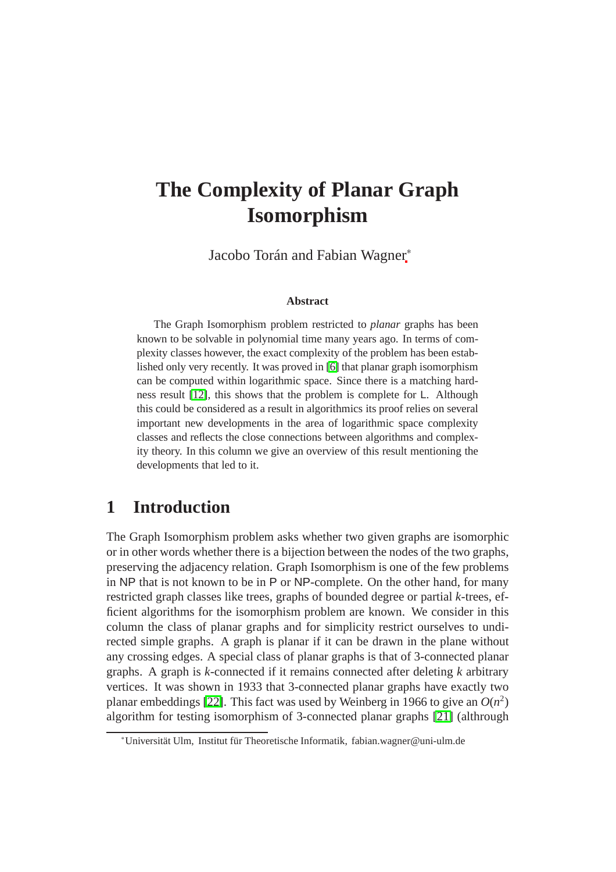# **The Complexity of Planar Graph Isomorphism**

Jacobo Torán and Fabian Wagner<sup>∗</sup>

#### **Abstract**

The Graph Isomorphism problem restricted to *planar* graphs has been known to be solvable in polynomial time many years ago. In terms of complexity classes however, the exact complexity of the problem has been established only very recently. It was proved in [\[6\]](#page-20-0) that planar graph isomorphism can be computed within logarithmic space. Since there is a matching hardness result [\[12\]](#page-21-0), this shows that the problem is complete for L. Although this could be considered as a result in algorithmics its proof relies on several important new developments in the area of logarithmic space complexity classes and reflects the close connections between algorithms and complexity theory. In this column we give an overview of this result mentioning the developments that led to it.

# **1 Introduction**

The Graph Isomorphism problem asks whether two given graphs are isomorphic or in other words whether there is a bijection between the nodes of the two graphs, preserving the adjacency relation. Graph Isomorphism is one of the few problems in NP that is not known to be in P or NP-complete. On the other hand, for many restricted graph classes like trees, graphs of bounded degree or partial *k*-trees, efficient algorithms for the isomorphism problem are known. We consider in this column the class of planar graphs and for simplicity restrict ourselves to undirected simple graphs. A graph is planar if it can be drawn in the plane without any crossing edges. A special class of planar graphs is that of 3-connected planar graphs. A graph is *k*-connected if it remains connected after deleting *k* arbitrary vertices. It was shown in 1933 that 3-connected planar graphs have exactly two planar embeddings [\[22\]](#page-21-1). This fact was used by Weinberg in 1966 to give an  $O(n^2)$ algorithm for testing isomorphism of 3-connected planar graphs [\[21\]](#page-21-2) (althrough

<sup>∗</sup>Universität Ulm, Institut für Theoretische Informatik, fabian.wagner@uni-ulm.de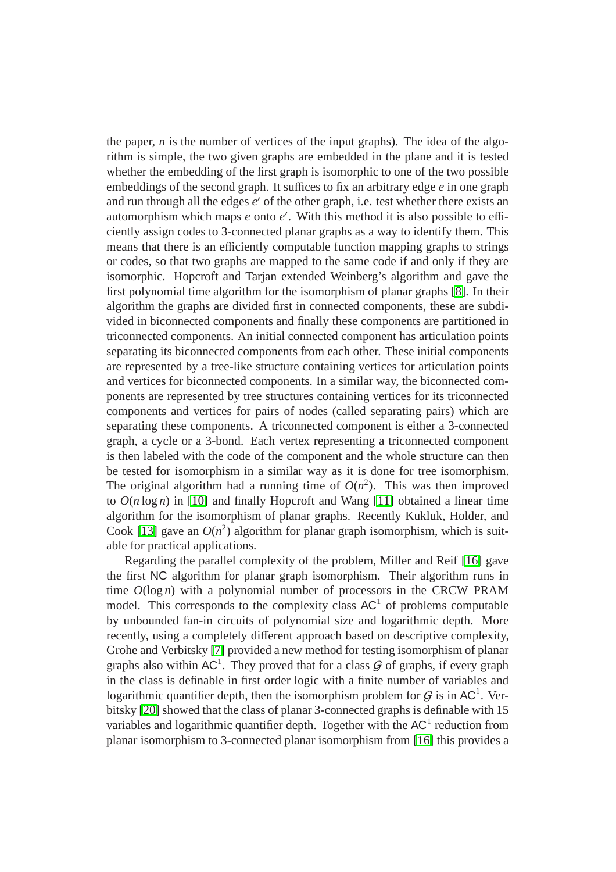the paper,  $n$  is the number of vertices of the input graphs). The idea of the algorithm is simple, the two given graphs are embedded in the plane and it is tested whether the embedding of the first graph is isomorphic to one of the two possible embeddings of the second graph. It suffices to fix an arbitrary edge *e* in one graph and run through all the edges *e* ′ of the other graph, i.e. test whether there exists an automorphism which maps *e* onto *e* ′ . With this method it is also possible to efficiently assign codes to 3-connected planar graphs as a way to identify them. This means that there is an efficiently computable function mapping graphs to strings or codes, so that two graphs are mapped to the same code if and only if they are isomorphic. Hopcroft and Tarjan extended Weinberg's algorithm and gave the first polynomial time algorithm for the isomorphism of planar graphs [\[8\]](#page-21-3). In their algorithm the graphs are divided first in connected components, these are subdivided in biconnected components and finally these components are partitioned in triconnected components. An initial connected component has articulation points separating its biconnected components from each other. These initial components are represented by a tree-like structure containing vertices for articulation points and vertices for biconnected components. In a similar way, the biconnected components are represented by tree structures containing vertices for its triconnected components and vertices for pairs of nodes (called separating pairs) which are separating these components. A triconnected component is either a 3-connected graph, a cycle or a 3-bond. Each vertex representing a triconnected component is then labeled with the code of the component and the whole structure can then be tested for isomorphism in a similar way as it is done for tree isomorphism. The original algorithm had a running time of  $O(n^2)$ . This was then improved to  $O(n \log n)$  in [\[10\]](#page-21-4) and finally Hopcroft and Wang [\[11\]](#page-21-5) obtained a linear time algorithm for the isomorphism of planar graphs. Recently Kukluk, Holder, and Cook [\[13\]](#page-21-6) gave an  $O(n^2)$  algorithm for planar graph isomorphism, which is suitable for practical applications.

Regarding the parallel complexity of the problem, Miller and Reif [\[16\]](#page-21-7) gave the first NC algorithm for planar graph isomorphism. Their algorithm runs in time  $O(\log n)$  with a polynomial number of processors in the CRCW PRAM model. This corresponds to the complexity class  $AC<sup>1</sup>$  of problems computable by unbounded fan-in circuits of polynomial size and logarithmic depth. More recently, using a completely different approach based on descriptive complexity, Grohe and Verbitsky [\[7\]](#page-20-1) provided a new method for testing isomorphism of planar graphs also within  $AC^1$ . They proved that for a class  $G$  of graphs, if every graph in the class is definable in first order logic with a finite number of variables and logarithmic quantifier depth, then the isomorphism problem for  $G$  is in AC<sup>1</sup>. Verbitsky [\[20\]](#page-21-8) showed that the class of planar 3-connected graphs is definable with 15 variables and logarithmic quantifier depth. Together with the  $AC<sup>1</sup>$  reduction from planar isomorphism to 3-connected planar isomorphism from [\[16\]](#page-21-7) this provides a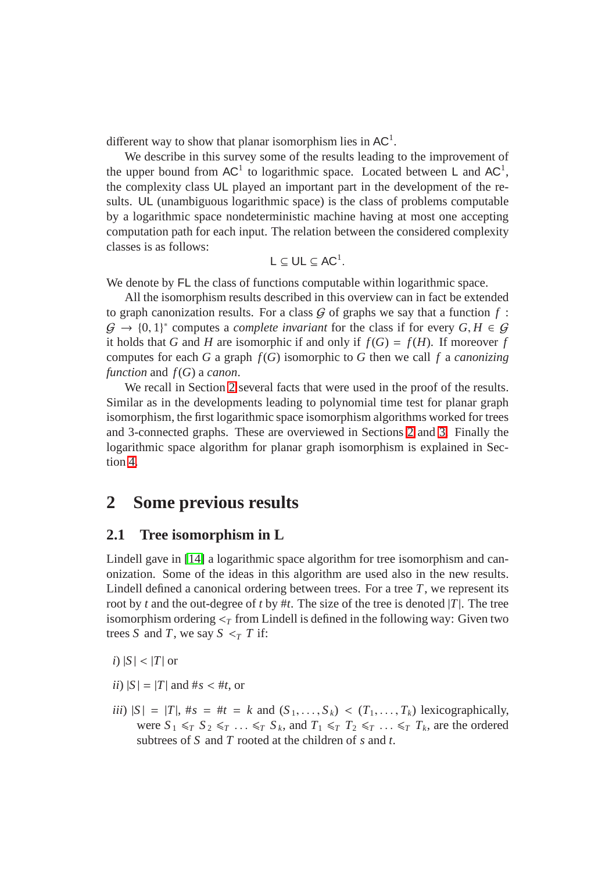different way to show that planar isomorphism lies in  $AC<sup>1</sup>$ .

We describe in this survey some of the results leading to the improvement of the upper bound from  $AC^1$  to logarithmic space. Located between L and  $AC^1$ , the complexity class UL played an important part in the development of the results. UL (unambiguous logarithmic space) is the class of problems computable by a logarithmic space nondeterministic machine having at most one accepting computation path for each input. The relation between the considered complexity classes is as follows:

$$
L\subseteq UL\subseteq AC^1.
$$

We denote by FL the class of functions computable within logarithmic space.

All the isomorphism results described in this overview can in fact be extended to graph canonization results. For a class  $G$  of graphs we say that a function  $f$ :  $\mathcal{G} \to \{0,1\}^*$  computes a *complete invariant* for the class if for every  $G, H \in \mathcal{G}$ it holds that *G* and *H* are isomorphic if and only if  $f(G) = f(H)$ . If moreover *f* computes for each *G* a graph *f*(*G*) isomorphic to *G* then we call *f* a *canonizing function* and *f*(*G*) a *canon*.

We recall in Section [2](#page-2-0) several facts that were used in the proof of the results. Similar as in the developments leading to polynomial time test for planar graph isomorphism, the first logarithmic space isomorphism algorithms worked for trees and 3-connected graphs. These are overviewed in Sections [2](#page-2-0) and [3.](#page-5-0) Finally the logarithmic space algorithm for planar graph isomorphism is explained in Section [4.](#page-10-0)

# <span id="page-2-0"></span>**2 Some previous results**

### **2.1 Tree isomorphism in L**

Lindell gave in [\[14\]](#page-21-9) a logarithmic space algorithm for tree isomorphism and canonization. Some of the ideas in this algorithm are used also in the new results. Lindell defined a canonical ordering between trees. For a tree  $T$ , we represent its root by *t* and the out-degree of *t* by #*t*. The size of the tree is denoted |*T*|. The tree isomorphism ordering  $\lt_{\tau}$  from Lindell is defined in the following way: Given two trees *S* and *T*, we say  $S \leq_T T$  if:

*i*)  $|S|$  <  $|T|$  or

- $ii)$   $|S| = |T|$  and  $#s < #t$ , or
- *iii*)  $|S| = |T|$ ,  $\#s = \#t = k$  and  $(S_1, \ldots, S_k) < (T_1, \ldots, T_k)$  lexicographically, were  $S_1 \leq T S_2 \leq T \ldots \leq T S_k$ , and  $T_1 \leq T T_2 \leq T \ldots \leq T T_k$ , are the ordered subtrees of *S* and *T* rooted at the children of *s* and *t*.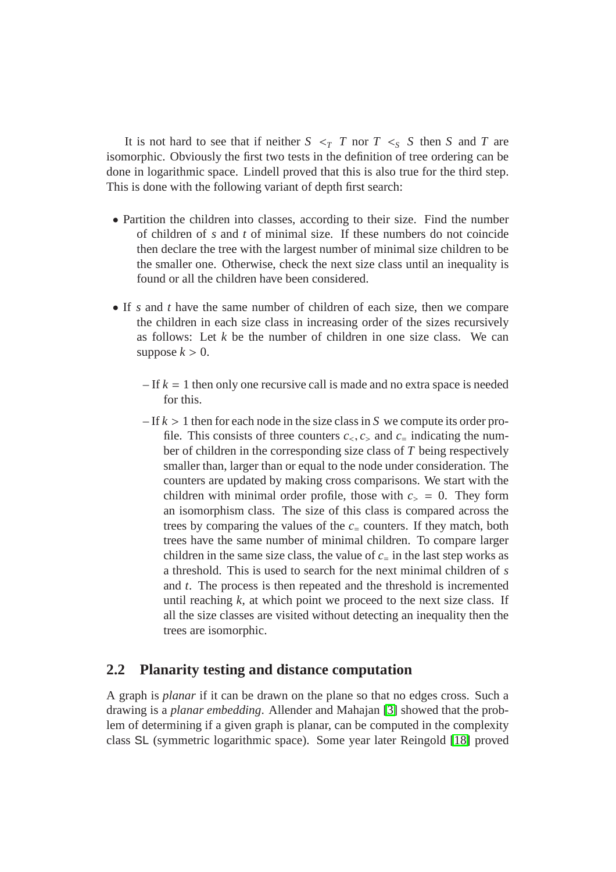It is not hard to see that if neither  $S \leq_T T$  nor  $T \leq_S S$  then *S* and *T* are isomorphic. Obviously the first two tests in the definition of tree ordering can be done in logarithmic space. Lindell proved that this is also true for the third step. This is done with the following variant of depth first search:

- Partition the children into classes, according to their size. Find the number of children of *s* and *t* of minimal size. If these numbers do not coincide then declare the tree with the largest number of minimal size children to be the smaller one. Otherwise, check the next size class until an inequality is found or all the children have been considered.
- If *s* and *t* have the same number of children of each size, then we compare the children in each size class in increasing order of the sizes recursively as follows: Let *k* be the number of children in one size class. We can suppose  $k > 0$ .
	- $-I$  *k* = 1 then only one recursive call is made and no extra space is needed for this.
	- $-I$  f  $k > 1$  then for each node in the size class in *S* we compute its order profile. This consists of three counters  $c_1, c_2$  and  $c_1$  indicating the number of children in the corresponding size class of *T* being respectively smaller than, larger than or equal to the node under consideration. The counters are updated by making cross comparisons. We start with the children with minimal order profile, those with  $c_$  = 0. They form an isomorphism class. The size of this class is compared across the trees by comparing the values of the  $c<sub>=</sub>$  counters. If they match, both trees have the same number of minimal children. To compare larger children in the same size class, the value of  $c_{\text{=}i}$  in the last step works as a threshold. This is used to search for the next minimal children of *s* and *t*. The process is then repeated and the threshold is incremented until reaching  $k$ , at which point we proceed to the next size class. If all the size classes are visited without detecting an inequality then the trees are isomorphic.

### **2.2 Planarity testing and distance computation**

A graph is *planar* if it can be drawn on the plane so that no edges cross. Such a drawing is a *planar embedding*. Allender and Mahajan [\[3\]](#page-20-2) showed that the problem of determining if a given graph is planar, can be computed in the complexity class SL (symmetric logarithmic space). Some year later Reingold [\[18\]](#page-21-10) proved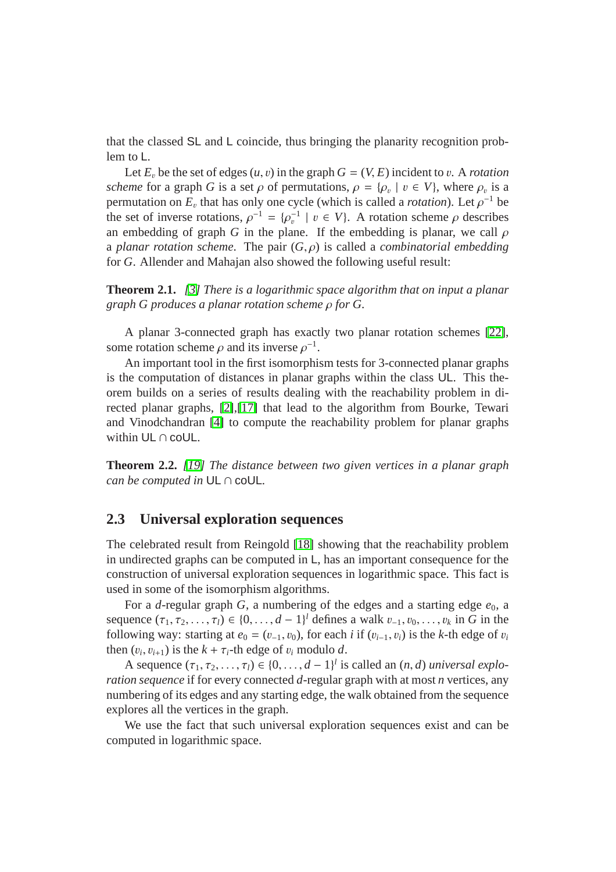that the classed SL and L coincide, thus bringing the planarity recognition problem to L.

Let  $E<sub>v</sub>$  be the set of edges  $(u, v)$  in the graph  $G = (V, E)$  incident to v. A *rotation scheme* for a graph *G* is a set  $\rho$  of permutations,  $\rho = {\rho_v \mid v \in V}$ , where  $\rho_v$  is a permutation on  $E_v$  that has only one cycle (which is called a *rotation*). Let  $\rho^{-1}$  be the set of inverse rotations,  $\rho^{-1} = {\rho_v^{-1} \mid v \in V}$ . A rotation scheme  $\rho$  describes an embedding of graph *G* in the plane. If the embedding is planar, we call  $\rho$ a *planar rotation scheme*. The pair (*G*, ρ) is called a *combinatorial embedding* for *G*. Allender and Mahajan also showed the following useful result:

**Theorem 2.1.** *[\[3\]](#page-20-2) There is a logarithmic space algorithm that on input a planar graph G produces a planar rotation scheme* ρ *for G.*

A planar 3-connected graph has exactly two planar rotation schemes [\[22\]](#page-21-1), some rotation scheme  $\rho$  and its inverse  $\rho^{-1}$ .

An important tool in the first isomorphism tests for 3-connected planar graphs is the computation of distances in planar graphs within the class UL. This theorem builds on a series of results dealing with the reachability problem in directed planar graphs, [\[2\]](#page-20-3),[\[17\]](#page-21-11) that lead to the algorithm from Bourke, Tewari and Vinodchandran [\[4\]](#page-20-4) to compute the reachability problem for planar graphs within UL ∩ coUL.

**Theorem 2.2.** *[\[19\]](#page-21-12) The distance between two given vertices in a planar graph can be computed in* UL ∩ coUL*.*

## **2.3 Universal exploration sequences**

The celebrated result from Reingold [\[18\]](#page-21-10) showing that the reachability problem in undirected graphs can be computed in L, has an important consequence for the construction of universal exploration sequences in logarithmic space. This fact is used in some of the isomorphism algorithms.

For a *d*-regular graph *G*, a numbering of the edges and a starting edge  $e_0$ , a sequence  $(\tau_1, \tau_2, ..., \tau_l) \in \{0, ..., d - 1\}^l$  defines a walk  $v_{-1}, v_0, ..., v_k$  in *G* in the following way: starting at  $e_0 = (v_{-1}, v_0)$ , for each *i* if  $(v_{i-1}, v_i)$  is the *k*-th edge of  $v_i$ then  $(v_i, v_{i+1})$  is the  $k + \tau_i$ -th edge of  $v_i$  modulo *d*.

A sequence  $(\tau_1, \tau_2, \ldots, \tau_l) \in \{0, \ldots, d-1\}^l$  is called an  $(n, d)$  *universal exploration sequence* if for every connected *d*-regular graph with at most *n* vertices, any numbering of its edges and any starting edge, the walk obtained from the sequence explores all the vertices in the graph.

We use the fact that such universal exploration sequences exist and can be computed in logarithmic space.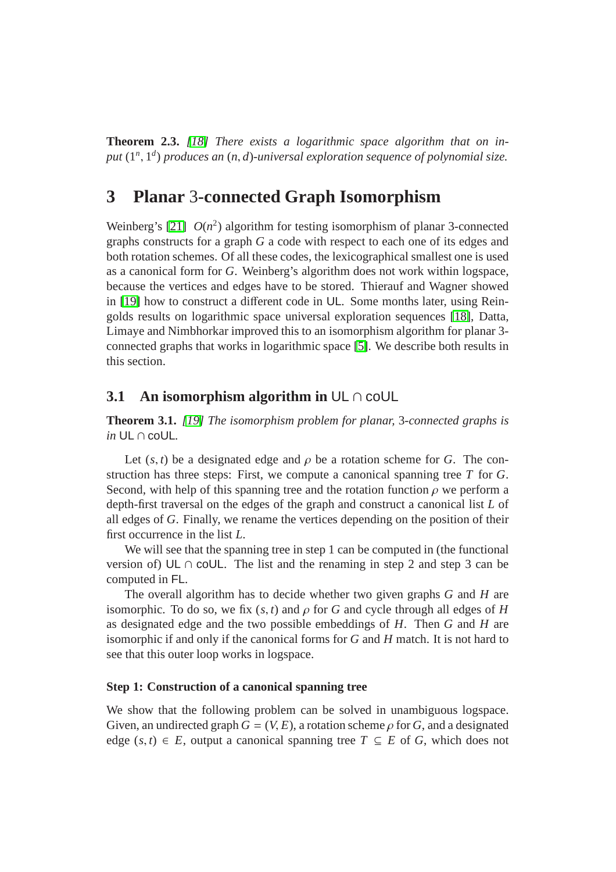**Theorem 2.3.** *[\[18\]](#page-21-10) There exists a logarithmic space algorithm that on input* (1*<sup>n</sup>* , 1 *d* ) *produces an* (*n*, *d*)*-universal exploration sequence of polynomial size.*

# <span id="page-5-0"></span>**3 Planar** 3**-connected Graph Isomorphism**

Weinberg's [\[21\]](#page-21-2)  $O(n^2)$  algorithm for testing isomorphism of planar 3-connected graphs constructs for a graph *G* a code with respect to each one of its edges and both rotation schemes. Of all these codes, the lexicographical smallest one is used as a canonical form for *G*. Weinberg's algorithm does not work within logspace, because the vertices and edges have to be stored. Thierauf and Wagner showed in [\[19\]](#page-21-12) how to construct a different code in UL. Some months later, using Reingolds results on logarithmic space universal exploration sequences [\[18\]](#page-21-10), Datta, Limaye and Nimbhorkar improved this to an isomorphism algorithm for planar 3 connected graphs that works in logarithmic space [\[5\]](#page-20-5). We describe both results in this section.

### <span id="page-5-1"></span>**3.1** An isomorphism algorithm in UL ∩ coUL

**Theorem 3.1.** *[\[19\]](#page-21-12) The isomorphism problem for planar,* 3*-connected graphs is in* UL ∩ coUL*.*

Let  $(s, t)$  be a designated edge and  $\rho$  be a rotation scheme for *G*. The construction has three steps: First, we compute a canonical spanning tree *T* for *G*. Second, with help of this spanning tree and the rotation function  $\rho$  we perform a depth-first traversal on the edges of the graph and construct a canonical list *L* of all edges of *G*. Finally, we rename the vertices depending on the position of their first occurrence in the list *L*.

We will see that the spanning tree in step 1 can be computed in (the functional version of) UL  $\cap$  coUL. The list and the renaming in step 2 and step 3 can be computed in FL.

The overall algorithm has to decide whether two given graphs *G* and *H* are isomorphic. To do so, we fix  $(s, t)$  and  $\rho$  for *G* and cycle through all edges of *H* as designated edge and the two possible embeddings of *H*. Then *G* and *H* are isomorphic if and only if the canonical forms for *G* and *H* match. It is not hard to see that this outer loop works in logspace.

#### **Step 1: Construction of a canonical spanning tree**

We show that the following problem can be solved in unambiguous logspace. Given, an undirected graph  $G = (V, E)$ , a rotation scheme  $\rho$  for *G*, and a designated edge  $(s, t) \in E$ , output a canonical spanning tree  $T \subseteq E$  of *G*, which does not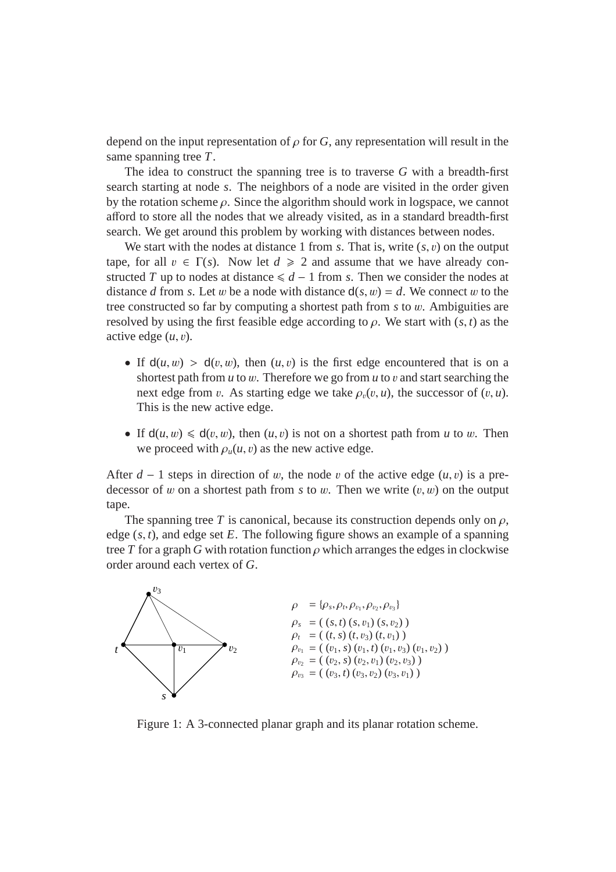depend on the input representation of  $\rho$  for *G*, any representation will result in the same spanning tree *T*.

The idea to construct the spanning tree is to traverse *G* with a breadth-first search starting at node *s*. The neighbors of a node are visited in the order given by the rotation scheme  $\rho$ . Since the algorithm should work in logspace, we cannot afford to store all the nodes that we already visited, as in a standard breadth-first search. We get around this problem by working with distances between nodes.

We start with the nodes at distance 1 from *s*. That is, write  $(s, v)$  on the output tape, for all  $v \in \Gamma(s)$ . Now let  $d \ge 2$  and assume that we have already constructed *T* up to nodes at distance  $\le d - 1$  from *s*. Then we consider the nodes at distance *d* from *s*. Let *w* be a node with distance  $d(s, w) = d$ . We connect *w* to the tree constructed so far by computing a shortest path from *s* to w. Ambiguities are resolved by using the first feasible edge according to  $\rho$ . We start with  $(s, t)$  as the active edge (*u*, v).

- If  $d(u, w) > d(v, w)$ , then  $(u, v)$  is the first edge encountered that is on a shortest path from *u* to *w*. Therefore we go from *u* to *v* and start searching the next edge from *v*. As starting edge we take  $\rho_n(v, u)$ , the successor of  $(v, u)$ . This is the new active edge.
- If  $d(u, w) \le d(v, w)$ , then  $(u, v)$  is not on a shortest path from *u* to *w*. Then we proceed with  $\rho_u(u, v)$  as the new active edge.

After  $d - 1$  steps in direction of w, the node v of the active edge  $(u, v)$  is a predecessor of w on a shortest path from  $s$  to w. Then we write  $(v, w)$  on the output tape.

The spanning tree *T* is canonical, because its construction depends only on  $\rho$ , edge (*s*, *t*), and edge set *E*. The following figure shows an example of a spanning tree *T* for a graph *G* with rotation function  $\rho$  which arranges the edges in clockwise order around each vertex of *G*.



<span id="page-6-0"></span>Figure 1: A 3-connected planar graph and its planar rotation scheme.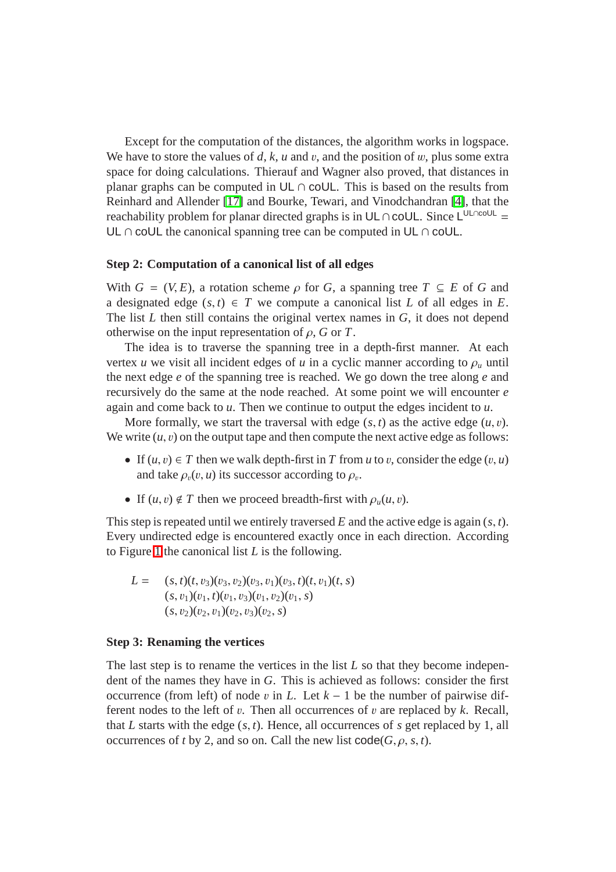Except for the computation of the distances, the algorithm works in logspace. We have to store the values of  $d$ ,  $k$ ,  $u$  and  $v$ , and the position of  $w$ , plus some extra space for doing calculations. Thierauf and Wagner also proved, that distances in planar graphs can be computed in  $UL \cap colUL$ . This is based on the results from Reinhard and Allender [\[17\]](#page-21-11) and Bourke, Tewari, and Vinodchandran [\[4\]](#page-20-4), that the reachability problem for planar directed graphs is in UL∩coUL. Since L<sup>UL∩coUL</sup> = UL ∩ coUL the canonical spanning tree can be computed in UL ∩ coUL.

#### **Step 2: Computation of a canonical list of all edges**

With  $G = (V, E)$ , a rotation scheme  $\rho$  for *G*, a spanning tree  $T \subseteq E$  of *G* and a designated edge  $(s, t) \in T$  we compute a canonical list *L* of all edges in *E*. The list *L* then still contains the original vertex names in *G*, it does not depend otherwise on the input representation of  $\rho$ , *G* or *T*.

The idea is to traverse the spanning tree in a depth-first manner. At each vertex *u* we visit all incident edges of *u* in a cyclic manner according to  $\rho_u$  until the next edge *e* of the spanning tree is reached. We go down the tree along *e* and recursively do the same at the node reached. At some point we will encounter *e* again and come back to *u*. Then we continue to output the edges incident to *u*.

More formally, we start the traversal with edge  $(s, t)$  as the active edge  $(u, v)$ . We write  $(u, v)$  on the output tape and then compute the next active edge as follows:

- If  $(u, v) \in T$  then we walk depth-first in T from *u* to *v*, consider the edge  $(v, u)$ and take  $\rho_v(v, u)$  its successor according to  $\rho_v$ .
- If  $(u, v) \notin T$  then we proceed breadth-first with  $\rho_u(u, v)$ .

This step is repeated until we entirely traversed *E* and the active edge is again (*s*, *t*). Every undirected edge is encountered exactly once in each direction. According to Figure [1](#page-6-0) the canonical list *L* is the following.

$$
L = (s, t)(t, v_3)(v_3, v_2)(v_3, v_1)(v_3, t)(t, v_1)(t, s)
$$
  
\n
$$
(s, v_1)(v_1, t)(v_1, v_3)(v_1, v_2)(v_1, s)
$$
  
\n
$$
(s, v_2)(v_2, v_1)(v_2, v_3)(v_2, s)
$$

#### **Step 3: Renaming the vertices**

The last step is to rename the vertices in the list *L* so that they become independent of the names they have in *G*. This is achieved as follows: consider the first occurrence (from left) of node v in L. Let  $k - 1$  be the number of pairwise different nodes to the left of  $v$ . Then all occurrences of  $v$  are replaced by  $k$ . Recall, that *L* starts with the edge (*s*, *t*). Hence, all occurrences of *s* get replaced by 1, all occurrences of *t* by 2, and so on. Call the new list  $\text{code}(G, \rho, s, t)$ .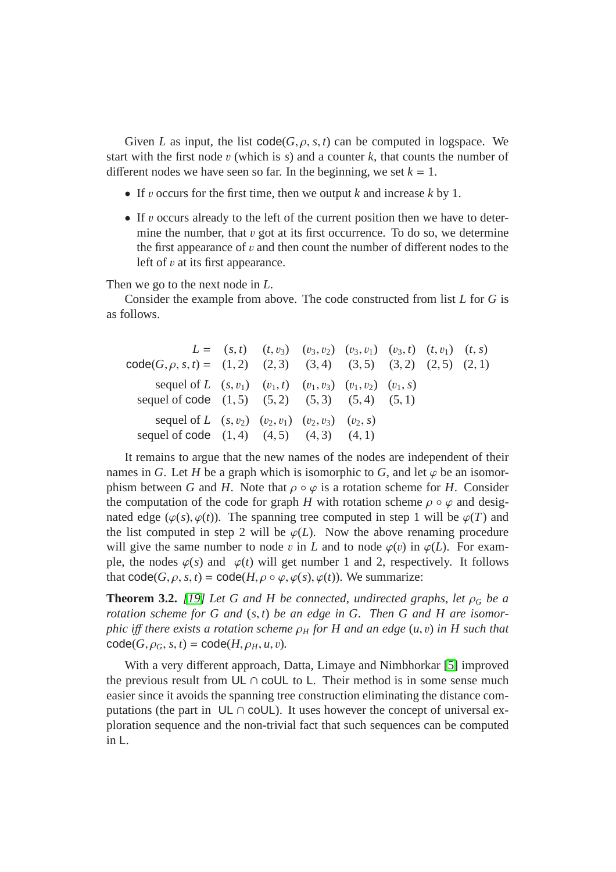Given *L* as input, the list  $code(G, \rho, s, t)$  can be computed in logspace. We start with the first node v (which is  $s$ ) and a counter  $k$ , that counts the number of different nodes we have seen so far. In the beginning, we set  $k = 1$ .

- If v occurs for the first time, then we output *k* and increase *k* by 1.
- If v occurs already to the left of the current position then we have to determine the number, that  $\nu$  got at its first occurrence. To do so, we determine the first appearance of  $v$  and then count the number of different nodes to the left of v at its first appearance.

Then we go to the next node in *L*.

Consider the example from above. The code constructed from list *L* for *G* is as follows.

 $L = (s, t)$   $(t, v_3)$   $(v_3, v_2)$   $(v_3, v_1)$   $(v_3, t)$   $(t, v_1)$   $(t, s)$  $code(G, \rho, s, t) = (1, 2) (2, 3) (3, 4) (3, 5) (3, 2) (2, 5) (2, 1)$ sequel of *L*  $(s, v_1)$   $(v_1, t)$   $(v_1, v_3)$   $(v_1, v_2)$   $(v_1, s)$ sequel of code  $(1, 5)$   $(5, 2)$   $(5, 3)$   $(5, 4)$   $(5, 1)$ sequel of *L*  $(s, v_2)$   $(v_2, v_1)$   $(v_2, v_3)$   $(v_2, s)$ sequel of code  $(1, 4)$   $(4, 5)$   $(4, 3)$   $(4, 1)$ 

It remains to argue that the new names of the nodes are independent of their names in *G*. Let *H* be a graph which is isomorphic to *G*, and let  $\varphi$  be an isomorphism between *G* and *H*. Note that  $\rho \circ \varphi$  is a rotation scheme for *H*. Consider the computation of the code for graph *H* with rotation scheme  $\rho \circ \varphi$  and designated edge  $(\varphi(s), \varphi(t))$ . The spanning tree computed in step 1 will be  $\varphi(T)$  and the list computed in step 2 will be  $\varphi(L)$ . Now the above renaming procedure will give the same number to node v in L and to node  $\varphi(v)$  in  $\varphi(L)$ . For example, the nodes  $\varphi(s)$  and  $\varphi(t)$  will get number 1 and 2, respectively. It follows that  $code(G, \rho, s, t) = code(H, \rho \circ \varphi, \varphi(s), \varphi(t))$ . We summarize:

**Theorem 3.2.** [\[19\]](#page-21-12) Let G and H be connected, undirected graphs, let  $\rho_G$  be a *rotation scheme for G and* (*s*, *t*) *be an edge in G. Then G and H are isomorphic i*ff *there exists a rotation scheme* ρ*<sup>H</sup> for H and an edge* (*u*, v) *in H such that*  $code(G, \rho_G, s, t) = code(H, \rho_H, u, v)$ .

With a very different approach, Datta, Limaye and Nimbhorkar [\[5\]](#page-20-5) improved the previous result from UL  $\cap$  coUL to L. Their method is in some sense much easier since it avoids the spanning tree construction eliminating the distance computations (the part in  $UL \cap colL$ ). It uses however the concept of universal exploration sequence and the non-trivial fact that such sequences can be computed in L.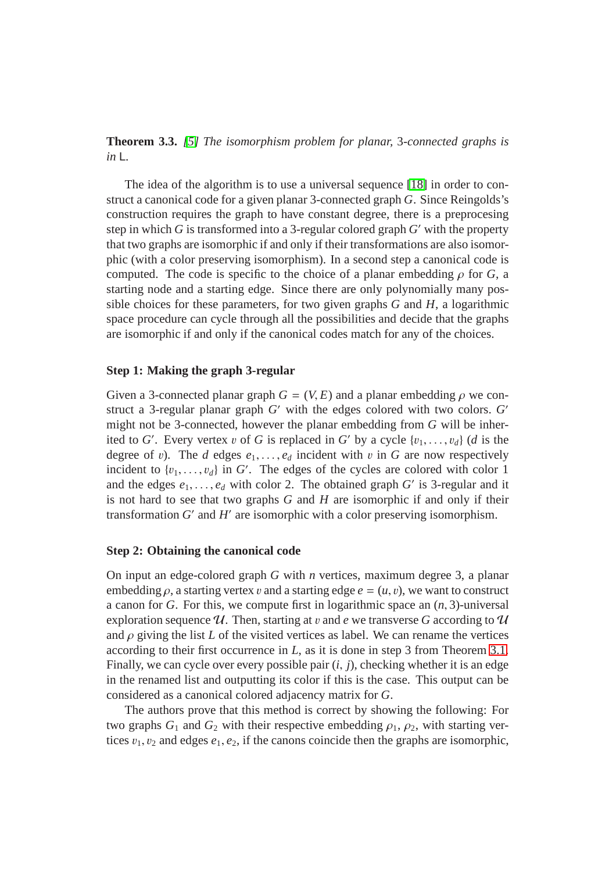**Theorem 3.3.** *[\[5\]](#page-20-5) The isomorphism problem for planar,* 3*-connected graphs is in* L*.*

The idea of the algorithm is to use a universal sequence [\[18\]](#page-21-10) in order to construct a canonical code for a given planar 3-connected graph *G*. Since Reingolds's construction requires the graph to have constant degree, there is a preprocesing step in which *G* is transformed into a 3-regular colored graph *G* ′ with the property that two graphs are isomorphic if and only if their transformations are also isomorphic (with a color preserving isomorphism). In a second step a canonical code is computed. The code is specific to the choice of a planar embedding  $\rho$  for *G*, a starting node and a starting edge. Since there are only polynomially many possible choices for these parameters, for two given graphs *G* and *H*, a logarithmic space procedure can cycle through all the possibilities and decide that the graphs are isomorphic if and only if the canonical codes match for any of the choices.

#### **Step 1: Making the graph 3-regular**

Given a 3-connected planar graph  $G = (V, E)$  and a planar embedding  $\rho$  we construct a 3-regular planar graph *G* ′ with the edges colored with two colors. *G* ′ might not be 3-connected, however the planar embedding from *G* will be inherited to *G'*. Every vertex v of *G* is replaced in *G'* by a cycle  $\{v_1, \ldots, v_d\}$  (*d* is the degree of v). The *d* edges  $e_1, \ldots, e_d$  incident with v in *G* are now respectively incident to  $\{v_1, \ldots, v_d\}$  in *G*<sup>'</sup>. The edges of the cycles are colored with color 1 and the edges  $e_1, \ldots, e_d$  with color 2. The obtained graph  $G'$  is 3-regular and it is not hard to see that two graphs *G* and *H* are isomorphic if and only if their transformation  $G'$  and  $H'$  are isomorphic with a color preserving isomorphism.

#### **Step 2: Obtaining the canonical code**

On input an edge-colored graph *G* with *n* vertices, maximum degree 3, a planar embedding  $\rho$ , a starting vertex v and a starting edge  $e = (u, v)$ , we want to construct a canon for *G*. For this, we compute first in logarithmic space an (*n*, 3)-universal exploration sequence  $U$ . Then, starting at v and e we transverse G according to  $U$ and  $\rho$  giving the list *L* of the visited vertices as label. We can rename the vertices according to their first occurrence in *L*, as it is done in step 3 from Theorem [3.1.](#page-5-1) Finally, we can cycle over every possible pair (*i*, *j*), checking whether it is an edge in the renamed list and outputting its color if this is the case. This output can be considered as a canonical colored adjacency matrix for *G*.

The authors prove that this method is correct by showing the following: For two graphs  $G_1$  and  $G_2$  with their respective embedding  $\rho_1$ ,  $\rho_2$ , with starting vertices  $v_1$ ,  $v_2$  and edges  $e_1$ ,  $e_2$ , if the canons coincide then the graphs are isomorphic,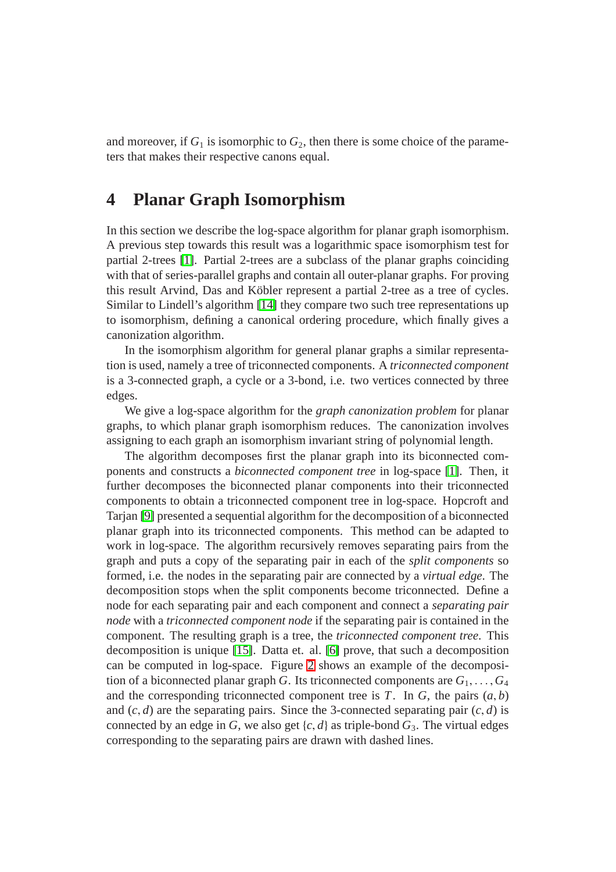and moreover, if  $G_1$  is isomorphic to  $G_2$ , then there is some choice of the parameters that makes their respective canons equal.

# <span id="page-10-0"></span>**4 Planar Graph Isomorphism**

In this section we describe the log-space algorithm for planar graph isomorphism. A previous step towards this result was a logarithmic space isomorphism test for partial 2-trees [\[1\]](#page-20-6). Partial 2-trees are a subclass of the planar graphs coinciding with that of series-parallel graphs and contain all outer-planar graphs. For proving this result Arvind, Das and Köbler represent a partial 2-tree as a tree of cycles. Similar to Lindell's algorithm [\[14\]](#page-21-9) they compare two such tree representations up to isomorphism, defining a canonical ordering procedure, which finally gives a canonization algorithm.

In the isomorphism algorithm for general planar graphs a similar representation is used, namely a tree of triconnected components. A *triconnected component* is a 3-connected graph, a cycle or a 3-bond, i.e. two vertices connected by three edges.

We give a log-space algorithm for the *graph canonization problem* for planar graphs, to which planar graph isomorphism reduces. The canonization involves assigning to each graph an isomorphism invariant string of polynomial length.

The algorithm decomposes first the planar graph into its biconnected components and constructs a *biconnected component tree* in log-space [\[1\]](#page-20-6). Then, it further decomposes the biconnected planar components into their triconnected components to obtain a triconnected component tree in log-space. Hopcroft and Tarjan [\[9\]](#page-21-13) presented a sequential algorithm for the decomposition of a biconnected planar graph into its triconnected components. This method can be adapted to work in log-space. The algorithm recursively removes separating pairs from the graph and puts a copy of the separating pair in each of the *split components* so formed, i.e. the nodes in the separating pair are connected by a *virtual edge*. The decomposition stops when the split components become triconnected. Define a node for each separating pair and each component and connect a *separating pair node* with a *triconnected component node* if the separating pair is contained in the component. The resulting graph is a tree, the *triconnected component tree*. This decomposition is unique [\[15\]](#page-21-14). Datta et. al. [\[6\]](#page-20-0) prove, that such a decomposition can be computed in log-space. Figure [2](#page-11-0) shows an example of the decomposition of a biconnected planar graph *G*. Its triconnected components are  $G_1, \ldots, G_4$ and the corresponding triconnected component tree is  $T$ . In  $G$ , the pairs  $(a, b)$ and  $(c, d)$  are the separating pairs. Since the 3-connected separating pair  $(c, d)$  is connected by an edge in *G*, we also get  $\{c, d\}$  as triple-bond  $G_3$ . The virtual edges corresponding to the separating pairs are drawn with dashed lines.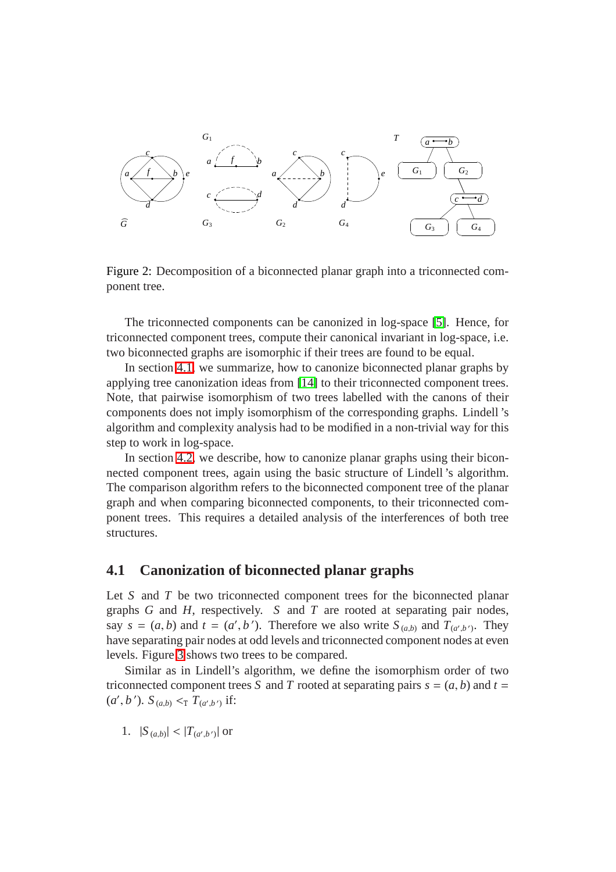

<span id="page-11-0"></span>Figure 2: Decomposition of a biconnected planar graph into a triconnected component tree.

The triconnected components can be canonized in log-space [\[5\]](#page-20-5). Hence, for triconnected component trees, compute their canonical invariant in log-space, i.e. two biconnected graphs are isomorphic if their trees are found to be equal.

In section [4.1,](#page-11-1) we summarize, how to canonize biconnected planar graphs by applying tree canonization ideas from [\[14\]](#page-21-9) to their triconnected component trees. Note, that pairwise isomorphism of two trees labelled with the canons of their components does not imply isomorphism of the corresponding graphs. Lindell 's algorithm and complexity analysis had to be modified in a non-trivial way for this step to work in log-space.

In section [4.2,](#page-16-0) we describe, how to canonize planar graphs using their biconnected component trees, again using the basic structure of Lindell 's algorithm. The comparison algorithm refers to the biconnected component tree of the planar graph and when comparing biconnected components, to their triconnected component trees. This requires a detailed analysis of the interferences of both tree structures.

### <span id="page-11-1"></span>**4.1 Canonization of biconnected planar graphs**

Let *S* and *T* be two triconnected component trees for the biconnected planar graphs *G* and *H*, respectively. *S* and *T* are rooted at separating pair nodes, say  $s = (a, b)$  and  $t = (a', b')$ . Therefore we also write  $S_{(a,b)}$  and  $T_{(a',b')}$ . They have separating pair nodes at odd levels and triconnected component nodes at even levels. Figure [3](#page-12-0) shows two trees to be compared.

Similar as in Lindell's algorithm, we define the isomorphism order of two triconnected component trees *S* and *T* rooted at separating pairs  $s = (a, b)$  and  $t =$  $(a', b')$ .  $S_{(a,b)} <_{\text{T}} T_{(a', b')}$  if:

1.  $|S_{(a,b)}| < |T_{(a',b')}|$  or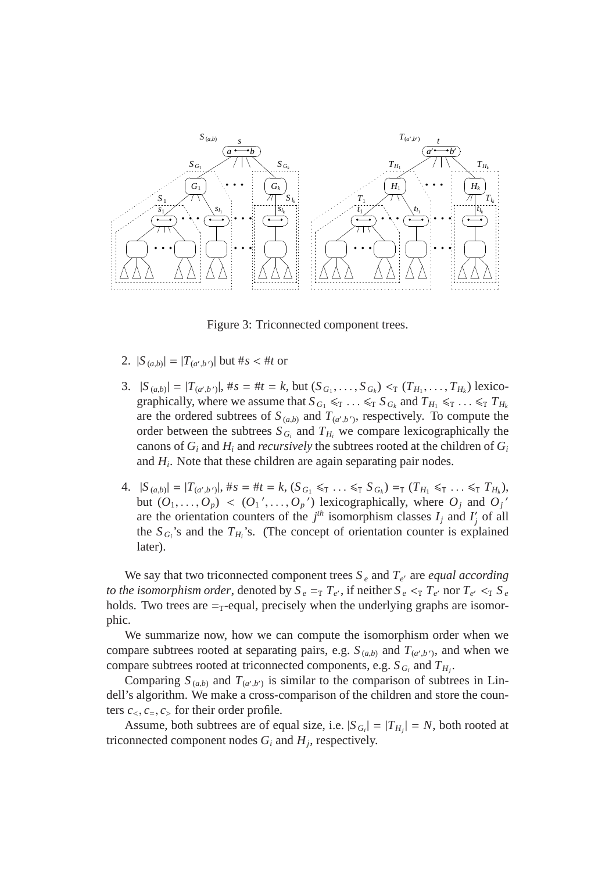

<span id="page-12-0"></span>Figure 3: Triconnected component trees.

- 2.  $|S_{(a,b)}| = |T_{(a',b')}|$  but #*s* < #*t* or
- 3.  $|S_{(a,b)}| = |T_{(a',b')}|$ ,  $\#s = \#t = k$ , but  $(S_{G_1}, \ldots, S_{G_k}) <_{\text{T}} (T_{H_1}, \ldots, T_{H_k})$  lexicographically, where we assume that  $S_{G_1} \leq T \ldots \leq T S_{G_k}$  and  $T_{H_1} \leq T \ldots \leq T H_k$ are the ordered subtrees of  $S_{(a,b)}$  and  $T_{(a',b')}$ , respectively. To compute the order between the subtrees  $S_{G_i}$  and  $T_{H_i}$  we compare lexicographically the canons of  $G_i$  and  $H_i$  and *recursively* the subtrees rooted at the children of  $G_i$ and *H<sup>i</sup>* . Note that these children are again separating pair nodes.
- 4.  $|S_{(a,b)}| = |T_{(a',b')}|$ ,  $\#s = \#t = k$ ,  $(S_{G_1} \leq_T \ldots \leq_T S_{G_k}) =_T (T_{H_1} \leq_T \ldots \leq_T T_{H_k})$ , but  $(O_1, \ldots, O_p) < (O_1', \ldots, O_p')$  lexicographically, where  $O_j$  and  $O_j'$ are the orientation counters of the  $j<sup>th</sup>$  isomorphism classes  $I_j$  and  $I'_j$ *j* of all the  $S_{G_i}$ 's and the  $T_{H_i}$ 's. (The concept of orientation counter is explained later).

We say that two triconnected component trees  $S_e$  and  $T_{e'}$  are *equal according to the isomorphism order*, denoted by  $S_e = T_e T_e$ , if neither  $S_e < T_e T_e$  nor  $T_e < T_e S_e$ holds. Two trees are  $=\tau$ -equal, precisely when the underlying graphs are isomorphic.

We summarize now, how we can compute the isomorphism order when we compare subtrees rooted at separating pairs, e.g.  $S_{(a,b)}$  and  $T_{(a',b')}$ , and when we compare subtrees rooted at triconnected components, e.g.  $S_{G_i}$  and  $T_{H_j}$ .

Comparing  $S_{(a,b)}$  and  $T_{(a',b')}$  is similar to the comparison of subtrees in Lindell's algorithm. We make a cross-comparison of the children and store the counters  $c_1, c_2, c_3$  for their order profile.

Assume, both subtrees are of equal size, i.e.  $|S_{G_i}| = |T_{H_j}| = N$ , both rooted at triconnected component nodes  $G_i$  and  $H_j$ , respectively.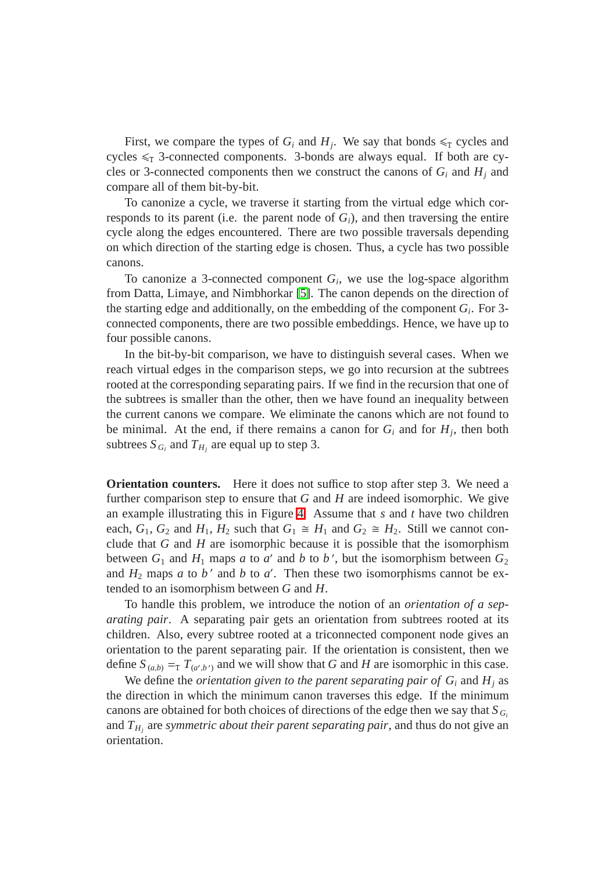First, we compare the types of  $G_i$  and  $H_j$ . We say that bonds  $\leq_T$  cycles and cycles  $\leq T$  3-connected components. 3-bonds are always equal. If both are cycles or 3-connected components then we construct the canons of  $G_i$  and  $H_j$  and compare all of them bit-by-bit.

To canonize a cycle, we traverse it starting from the virtual edge which corresponds to its parent (i.e. the parent node of  $G_i$ ), and then traversing the entire cycle along the edges encountered. There are two possible traversals depending on which direction of the starting edge is chosen. Thus, a cycle has two possible canons.

To canonize a 3-connected component  $G_i$ , we use the log-space algorithm from Datta, Limaye, and Nimbhorkar [\[5\]](#page-20-5). The canon depends on the direction of the starting edge and additionally, on the embedding of the component *G<sup>i</sup>* . For 3 connected components, there are two possible embeddings. Hence, we have up to four possible canons.

In the bit-by-bit comparison, we have to distinguish several cases. When we reach virtual edges in the comparison steps, we go into recursion at the subtrees rooted at the corresponding separating pairs. If we find in the recursion that one of the subtrees is smaller than the other, then we have found an inequality between the current canons we compare. We eliminate the canons which are not found to be minimal. At the end, if there remains a canon for  $G_i$  and for  $H_j$ , then both subtrees  $S_{G_i}$  and  $T_{H_j}$  are equal up to step 3.

**Orientation counters.** Here it does not suffice to stop after step 3. We need a further comparison step to ensure that *G* and *H* are indeed isomorphic. We give an example illustrating this in Figure [4.](#page-14-0) Assume that *s* and *t* have two children each,  $G_1$ ,  $G_2$  and  $H_1$ ,  $H_2$  such that  $G_1 \cong H_1$  and  $G_2 \cong H_2$ . Still we cannot conclude that *G* and *H* are isomorphic because it is possible that the isomorphism between  $G_1$  and  $H_1$  maps *a* to *a'* and *b* to *b'*, but the isomorphism between  $G_2$ and  $H_2$  maps *a* to *b*<sup> $\prime$ </sup> and *b* to *a*<sup> $\prime$ </sup>. Then these two isomorphisms cannot be extended to an isomorphism between *G* and *H*.

To handle this problem, we introduce the notion of an *orientation of a separating pair*. A separating pair gets an orientation from subtrees rooted at its children. Also, every subtree rooted at a triconnected component node gives an orientation to the parent separating pair. If the orientation is consistent, then we define  $S_{(a,b)} = T_{(a',b')}$  and we will show that *G* and *H* are isomorphic in this case.

We define the *orientation given to the parent separating pair of*  $G_i$  and  $H_j$  as the direction in which the minimum canon traverses this edge. If the minimum canons are obtained for both choices of directions of the edge then we say that  $S_{G_i}$ and *T<sup>H</sup><sup>j</sup>* are *symmetric about their parent separating pair*, and thus do not give an orientation.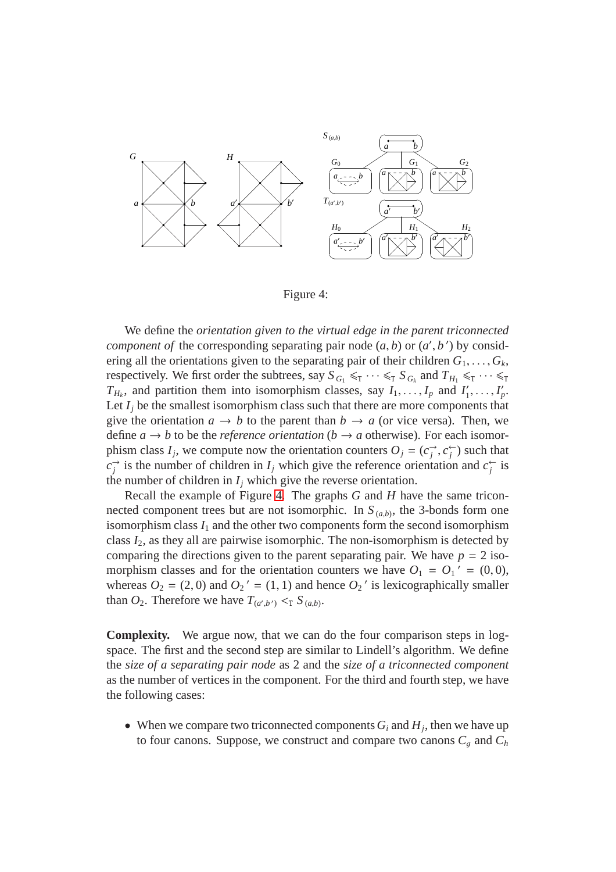

<span id="page-14-0"></span>Figure 4:

We define the *orientation given to the virtual edge in the parent triconnected component of* the corresponding separating pair node  $(a, b)$  or  $(a', b')$  by considering all the orientations given to the separating pair of their children  $G_1, \ldots, G_k$ , respectively. We first order the subtrees, say  $S_{G_1} \leq T \cdots \leq T S_{G_k}$  and  $T_{H_1} \leq T \cdots \leq T$  $T_{H_k}$ , and partition them into isomorphism classes, say  $I_1, \ldots, I_p$  and  $I'_1$  $I'_1, \ldots, I'_p.$ Let  $I_i$  be the smallest isomorphism class such that there are more components that give the orientation  $a \rightarrow b$  to the parent than  $b \rightarrow a$  (or vice versa). Then, we define  $a \rightarrow b$  to be the *reference orientation* ( $b \rightarrow a$  otherwise). For each isomorphism class  $I_j$ , we compute now the orientation counters  $O_j = (c_j^{\rightarrow})$  $\overrightarrow{j}$ ,  $c_j^{\leftarrow}$  $\binom{1}{j}$  such that  $c_i^{\rightarrow}$  $\vec{r}$  is the number of children in *I<sub>j</sub>* which give the reference orientation and  $c_j^{\leftarrow}$  $\frac{1}{i}$  is the number of children in  $I_j$  which give the reverse orientation.

Recall the example of Figure [4.](#page-14-0) The graphs *G* and *H* have the same triconnected component trees but are not isomorphic. In  $S_{(a,b)}$ , the 3-bonds form one isomorphism class  $I_1$  and the other two components form the second isomorphism class *I*2, as they all are pairwise isomorphic. The non-isomorphism is detected by comparing the directions given to the parent separating pair. We have  $p = 2$  isomorphism classes and for the orientation counters we have  $O_1 = O_1' = (0, 0)$ , whereas  $O_2 = (2,0)$  and  $O_2' = (1,1)$  and hence  $O_2'$  is lexicographically smaller than  $O_2$ . Therefore we have  $T_{(a',b')} <_{\text{T}} S_{(a,b)}$ .

**Complexity.** We argue now, that we can do the four comparison steps in logspace. The first and the second step are similar to Lindell's algorithm. We define the *size of a separating pair node* as 2 and the *size of a triconnected component* as the number of vertices in the component. For the third and fourth step, we have the following cases:

• When we compare two triconnected components  $G_i$  and  $H_j$ , then we have up to four canons. Suppose, we construct and compare two canons  $C_q$  and  $C_h$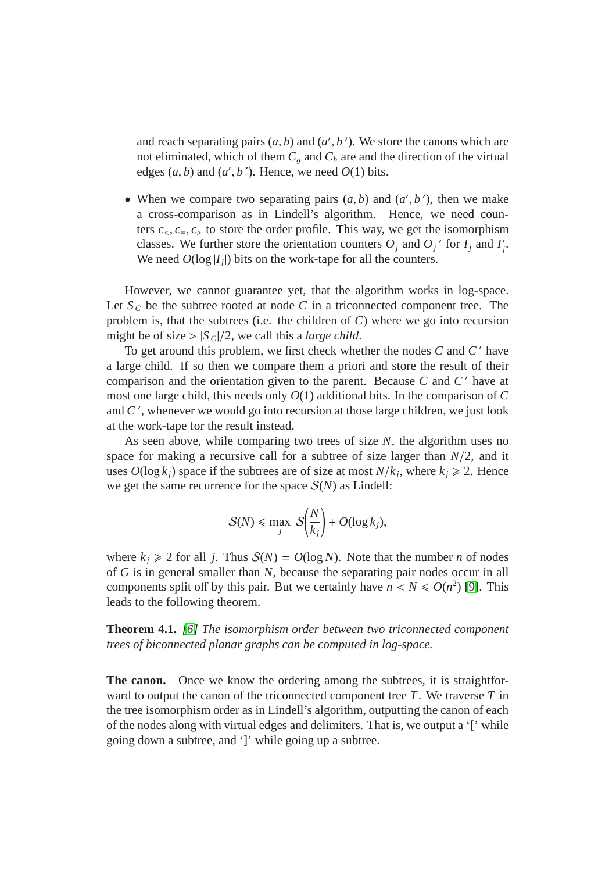and reach separating pairs  $(a, b)$  and  $(a', b')$ . We store the canons which are not eliminated, which of them  $C_q$  and  $C_h$  are and the direction of the virtual edges  $(a, b)$  and  $(a', b')$ . Hence, we need  $O(1)$  bits.

• When we compare two separating pairs  $(a, b)$  and  $(a', b')$ , then we make a cross-comparison as in Lindell's algorithm. Hence, we need counters  $c_1, c_2, c_3$  to store the order profile. This way, we get the isomorphism classes. We further store the orientation counters  $O_j$  and  $O_j$ <sup>'</sup> for  $I_j$  and  $I'_j$ *j* . We need  $O(\log |I_j|)$  bits on the work-tape for all the counters.

However, we cannot guarantee yet, that the algorithm works in log-space. Let  $S_C$  be the subtree rooted at node  $C$  in a triconnected component tree. The problem is, that the subtrees (i.e. the children of *C*) where we go into recursion might be of size  $>|S_C|/2$ , we call this a *large child*.

To get around this problem, we first check whether the nodes *C* and *C* ′ have a large child. If so then we compare them a priori and store the result of their comparison and the orientation given to the parent. Because *C* and *C* ′ have at most one large child, this needs only *O*(1) additional bits. In the comparison of *C* and *C* ′ , whenever we would go into recursion at those large children, we just look at the work-tape for the result instead.

As seen above, while comparing two trees of size *N*, the algorithm uses no space for making a recursive call for a subtree of size larger than *N*/2, and it uses  $O(\log k_j)$  space if the subtrees are of size at most  $N/k_j$ , where  $k_j \ge 2$ . Hence we get the same recurrence for the space  $S(N)$  as Lindell:

$$
S(N) \leq \max_{j} S\left(\frac{N}{k_j}\right) + O(\log k_j),
$$

where  $k_j \ge 2$  for all *j*. Thus  $S(N) = O(\log N)$ . Note that the number *n* of nodes of *G* is in general smaller than *N*, because the separating pair nodes occur in all components split off by this pair. But we certainly have  $n < N \le O(n^2)$  [\[9\]](#page-21-13). This leads to the following theorem.

**Theorem 4.1.** *[\[6\]](#page-20-0) The isomorphism order between two triconnected component trees of biconnected planar graphs can be computed in log-space.*

**The canon.** Once we know the ordering among the subtrees, it is straightforward to output the canon of the triconnected component tree *T*. We traverse *T* in the tree isomorphism order as in Lindell's algorithm, outputting the canon of each of the nodes along with virtual edges and delimiters. That is, we output a '[' while going down a subtree, and ']' while going up a subtree.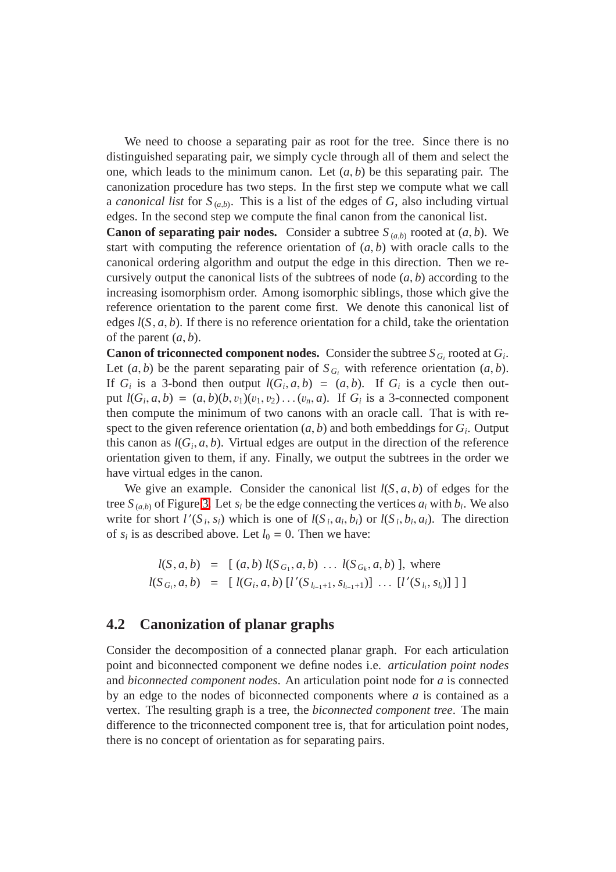We need to choose a separating pair as root for the tree. Since there is no distinguished separating pair, we simply cycle through all of them and select the one, which leads to the minimum canon. Let  $(a, b)$  be this separating pair. The canonization procedure has two steps. In the first step we compute what we call a *canonical list* for  $S_{(a,b)}$ . This is a list of the edges of *G*, also including virtual edges. In the second step we compute the final canon from the canonical list.

**Canon of separating pair nodes.** Consider a subtree  $S_{(a,b)}$  rooted at  $(a, b)$ . We start with computing the reference orientation of  $(a, b)$  with oracle calls to the canonical ordering algorithm and output the edge in this direction. Then we recursively output the canonical lists of the subtrees of node (*a*, *b*) according to the increasing isomorphism order. Among isomorphic siblings, those which give the reference orientation to the parent come first. We denote this canonical list of edges  $l(S, a, b)$ . If there is no reference orientation for a child, take the orientation of the parent  $(a, b)$ .

**Canon of triconnected component nodes.** Consider the subtree  $S_{G_i}$  rooted at  $G_i$ . Let  $(a, b)$  be the parent separating pair of  $S_{G_i}$  with reference orientation  $(a, b)$ . If  $G_i$  is a 3-bond then output  $l(G_i, a, b) = (a, b)$ . If  $G_i$  is a cycle then output  $l(G_i, a, b) = (a, b)(b, v_1)(v_1, v_2) \dots (v_n, a)$ . If  $G_i$  is a 3-connected component then compute the minimum of two canons with an oracle call. That is with respect to the given reference orientation  $(a, b)$  and both embeddings for  $G_i$ . Output this canon as  $l(G_i, a, b)$ . Virtual edges are output in the direction of the reference orientation given to them, if any. Finally, we output the subtrees in the order we have virtual edges in the canon.

We give an example. Consider the canonical list  $l(S, a, b)$  of edges for the tree  $S_{(a,b)}$  of Figure [3.](#page-12-0) Let  $s_i$  be the edge connecting the vertices  $a_i$  with  $b_i$ . We also write for short  $l'(S_i, s_i)$  which is one of  $l(S_i, a_i, b_i)$  or  $l(S_i, b_i, a_i)$ . The direction of  $s_i$  is as described above. Let  $l_0 = 0$ . Then we have:

$$
l(S, a, b) = [(a, b) l(S_{G_1}, a, b) ... l(S_{G_k}, a, b)], where
$$
  

$$
l(S_{G_i}, a, b) = [l(G_i, a, b) [l'(S_{l_{i-1}+1}, S_{l_{i-1}+1})] ... [l'(S_{l_i}, S_{l_i})]]]
$$

### <span id="page-16-0"></span>**4.2 Canonization of planar graphs**

Consider the decomposition of a connected planar graph. For each articulation point and biconnected component we define nodes i.e. *articulation point nodes* and *biconnected component nodes*. An articulation point node for *a* is connected by an edge to the nodes of biconnected components where *a* is contained as a vertex. The resulting graph is a tree, the *biconnected component tree*. The main difference to the triconnected component tree is, that for articulation point nodes, there is no concept of orientation as for separating pairs.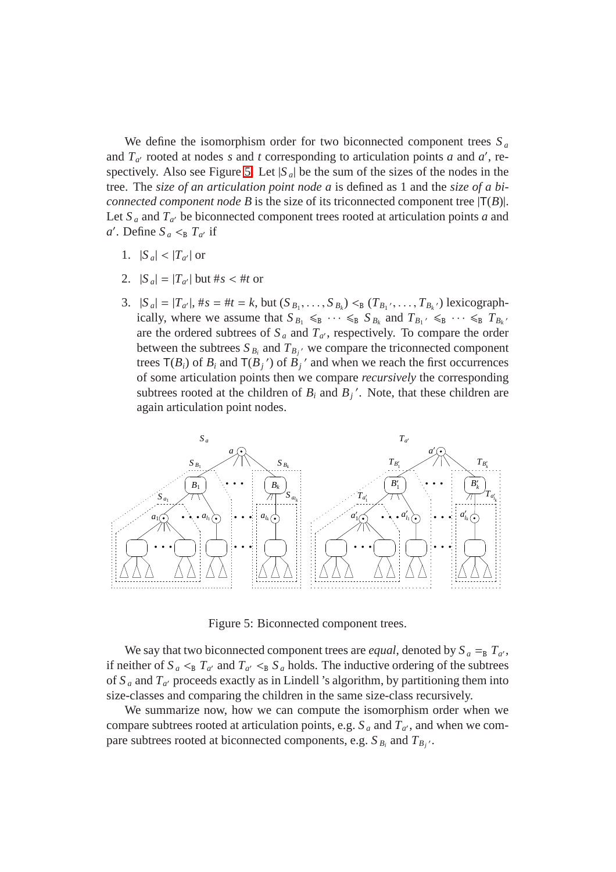We define the isomorphism order for two biconnected component trees  $S_a$ and  $T_{a'}$  rooted at nodes *s* and *t* corresponding to articulation points *a* and *a'*, re-spectively. Also see Figure [5.](#page-17-0) Let  $|S_a|$  be the sum of the sizes of the nodes in the tree. The *size of an articulation point node a* is defined as 1 and the *size of a biconnected component node B* is the size of its triconnected component tree  $|T(B)|$ . Let  $S_a$  and  $T_{a'}$  be biconnected component trees rooted at articulation points *a* and  $a'$ . Define  $S_a \leq_B T_{a'}$  if

- 1.  $|S_a| < |T_{a'}|$  or
- 2.  $|S_a| = |T_{a'}|$  but  $#s < #t$  or
- 3.  $|S_a| = |T_{a'}|, \#s = \#t = k$ , but  $(S_{B_1}, \ldots, S_{B_k}) <_{\mathbb{B}} (T_{B_1}, \ldots, T_{B_k})$  lexicographically, where we assume that  $S_{B_1} \leq g_1 \cdots \leq g_s S_{B_k}$  and  $T_{B_1'} \leq g_2 \cdots \leq g_s T_{B_k'}$ are the ordered subtrees of  $S_a$  and  $T_{a'}$ , respectively. To compare the order between the subtrees  $S_{B_i}$  and  $T_{B_j}$ <sup>*v*</sup> we compare the triconnected component trees  $T(B_i)$  of  $B_i$  and  $T(B_j')$  of  $B_j'$  and when we reach the first occurrences of some articulation points then we compare *recursively* the corresponding subtrees rooted at the children of  $B_i$  and  $B_j'$ . Note, that these children are again articulation point nodes.



<span id="page-17-0"></span>Figure 5: Biconnected component trees.

We say that two biconnected component trees are *equal*, denoted by  $S_a = B T_a$ , if neither of  $S_a \leq_B T_{a'}$  and  $T_{a'} \leq_B S_a$  holds. The inductive ordering of the subtrees of  $S_a$  and  $T_{a'}$  proceeds exactly as in Lindell 's algorithm, by partitioning them into size-classes and comparing the children in the same size-class recursively.

We summarize now, how we can compute the isomorphism order when we compare subtrees rooted at articulation points, e.g.  $S_a$  and  $T_{a'}$ , and when we compare subtrees rooted at biconnected components, e.g.  $S_{B_i}$  and  $T_{B_j}$ .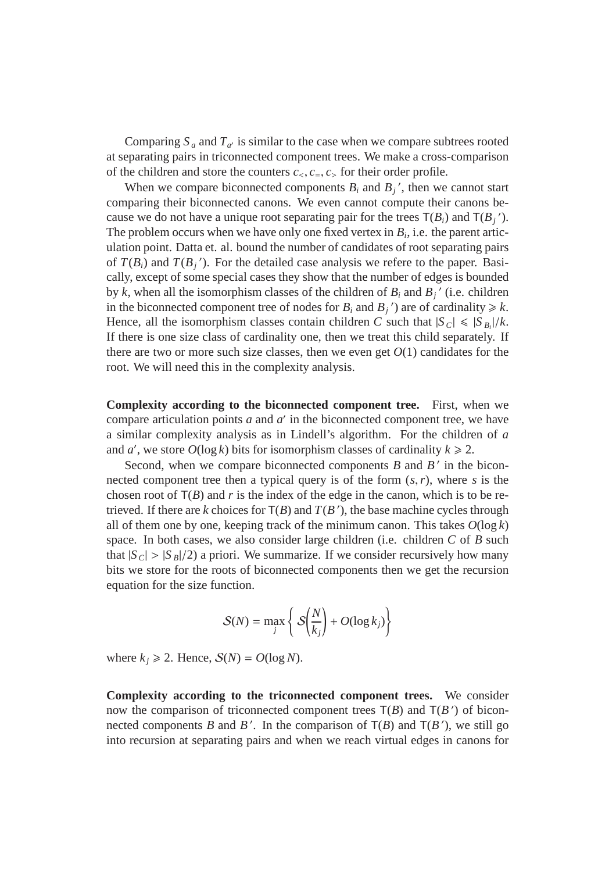Comparing  $S_a$  and  $T_{a'}$  is similar to the case when we compare subtrees rooted at separating pairs in triconnected component trees. We make a cross-comparison of the children and store the counters  $c_1, c_2, c_3$  for their order profile.

When we compare biconnected components  $B_i$  and  $B_j'$ , then we cannot start comparing their biconnected canons. We even cannot compute their canons because we do not have a unique root separating pair for the trees  $T(B_i)$  and  $T(B_j')$ . The problem occurs when we have only one fixed vertex in  $B_i$ , i.e. the parent articulation point. Datta et. al. bound the number of candidates of root separating pairs of  $T(B_i)$  and  $T(B_j')$ . For the detailed case analysis we refere to the paper. Basically, except of some special cases they show that the number of edges is bounded by *k*, when all the isomorphism classes of the children of  $B_i$  and  $B_j'$  (i.e. children in the biconnected component tree of nodes for  $B_i$  and  $B_j$ <sup>'</sup>) are of cardinality  $\ge k$ . Hence, all the isomorphism classes contain children *C* such that  $|S_C| \le |S_B|/k$ . If there is one size class of cardinality one, then we treat this child separately. If there are two or more such size classes, then we even get  $O(1)$  candidates for the root. We will need this in the complexity analysis.

**Complexity according to the biconnected component tree.** First, when we compare articulation points  $a$  and  $a'$  in the biconnected component tree, we have a similar complexity analysis as in Lindell's algorithm. For the children of *a* and *a'*, we store  $O(\log k)$  bits for isomorphism classes of cardinality  $k \ge 2$ .

Second, when we compare biconnected components  $B$  and  $B'$  in the biconnected component tree then a typical query is of the form (*s*,*r*), where *s* is the chosen root of  $T(B)$  and *r* is the index of the edge in the canon, which is to be retrieved. If there are  $k$  choices for  $T(B)$  and  $T(B')$ , the base machine cycles through all of them one by one, keeping track of the minimum canon. This takes  $O(\log k)$ space. In both cases, we also consider large children (i.e. children *C* of *B* such that  $|S_C| > |S_B|/2$ ) a priori. We summarize. If we consider recursively how many bits we store for the roots of biconnected components then we get the recursion equation for the size function.

$$
S(N) = \max_{j} \left\{ S\left(\frac{N}{k_j}\right) + O(\log k_j) \right\}
$$

where  $k_j \ge 2$ . Hence,  $S(N) = O(\log N)$ .

**Complexity according to the triconnected component trees.** We consider now the comparison of triconnected component trees  $T(B)$  and  $T(B')$  of biconnected components *B* and *B*<sup>'</sup>. In the comparison of  $T(B)$  and  $T(B')$ , we still go into recursion at separating pairs and when we reach virtual edges in canons for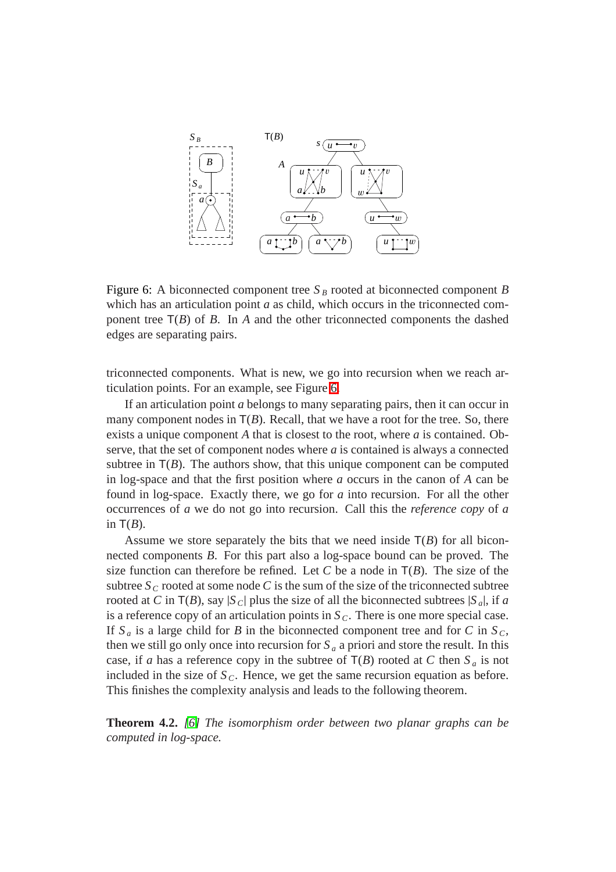

<span id="page-19-0"></span>Figure 6: A biconnected component tree  $S_B$  rooted at biconnected component *B* which has an articulation point *a* as child, which occurs in the triconnected component tree  $T(B)$  of *B*. In *A* and the other triconnected components the dashed edges are separating pairs.

triconnected components. What is new, we go into recursion when we reach articulation points. For an example, see Figure [6.](#page-19-0)

If an articulation point *a* belongs to many separating pairs, then it can occur in many component nodes in  $T(B)$ . Recall, that we have a root for the tree. So, there exists a unique component *A* that is closest to the root, where *a* is contained. Observe, that the set of component nodes where *a* is contained is always a connected subtree in  $T(B)$ . The authors show, that this unique component can be computed in log-space and that the first position where *a* occurs in the canon of *A* can be found in log-space. Exactly there, we go for *a* into recursion. For all the other occurrences of *a* we do not go into recursion. Call this the *reference copy* of *a* in  $T(B)$ .

Assume we store separately the bits that we need inside  $T(B)$  for all biconnected components *B*. For this part also a log-space bound can be proved. The size function can therefore be refined. Let *C* be a node in  $T(B)$ . The size of the subtree  $S_C$  rooted at some node C is the sum of the size of the triconnected subtree rooted at *C* in  $T(B)$ , say  $|S_C|$  plus the size of all the biconnected subtrees  $|S_a|$ , if *a* is a reference copy of an articulation points in  $S_C$ . There is one more special case. If  $S_a$  is a large child for *B* in the biconnected component tree and for *C* in  $S_c$ , then we still go only once into recursion for  $S_a$  a priori and store the result. In this case, if *a* has a reference copy in the subtree of  $T(B)$  rooted at *C* then  $S_a$  is not included in the size of  $S_C$ . Hence, we get the same recursion equation as before. This finishes the complexity analysis and leads to the following theorem.

**Theorem 4.2.** *[\[6\]](#page-20-0) The isomorphism order between two planar graphs can be computed in log-space.*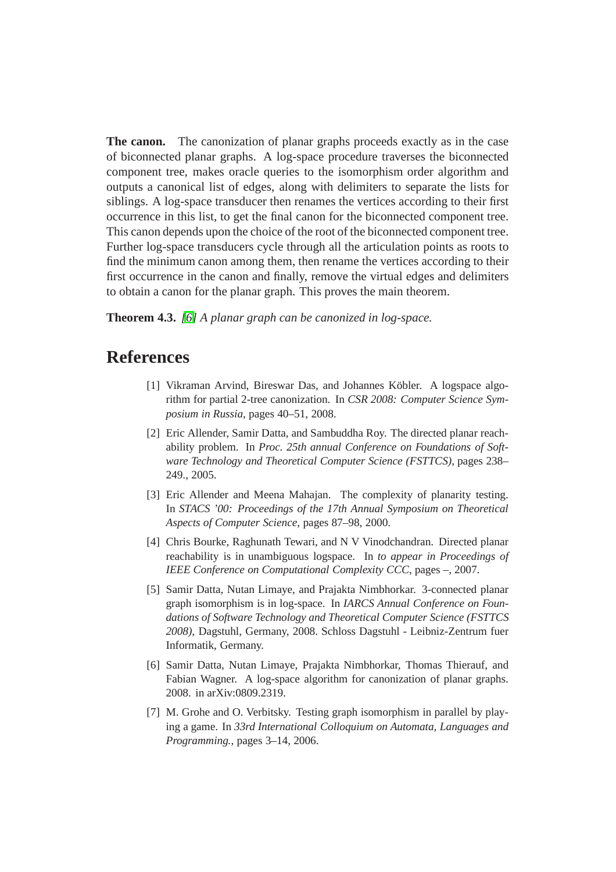**The canon.** The canonization of planar graphs proceeds exactly as in the case of biconnected planar graphs. A log-space procedure traverses the biconnected component tree, makes oracle queries to the isomorphism order algorithm and outputs a canonical list of edges, along with delimiters to separate the lists for siblings. A log-space transducer then renames the vertices according to their first occurrence in this list, to get the final canon for the biconnected component tree. This canon depends upon the choice of the root of the biconnected component tree. Further log-space transducers cycle through all the articulation points as roots to find the minimum canon among them, then rename the vertices according to their first occurrence in the canon and finally, remove the virtual edges and delimiters to obtain a canon for the planar graph. This proves the main theorem.

**Theorem 4.3.** *[\[6\]](#page-20-0) A planar graph can be canonized in log-space.*

# <span id="page-20-6"></span><span id="page-20-3"></span>**References**

- [1] Vikraman Arvind, Bireswar Das, and Johannes Köbler. A logspace algorithm for partial 2-tree canonization. In *CSR 2008: Computer Science Symposium in Russia*, pages 40–51, 2008.
- [2] Eric Allender, Samir Datta, and Sambuddha Roy. The directed planar reachability problem. In *Proc. 25th annual Conference on Foundations of Software Technology and Theoretical Computer Science (FSTTCS)*, pages 238– 249., 2005.
- <span id="page-20-2"></span>[3] Eric Allender and Meena Mahajan. The complexity of planarity testing. In *STACS '00: Proceedings of the 17th Annual Symposium on Theoretical Aspects of Computer Science*, pages 87–98, 2000.
- <span id="page-20-4"></span>[4] Chris Bourke, Raghunath Tewari, and N V Vinodchandran. Directed planar reachability is in unambiguous logspace. In *to appear in Proceedings of IEEE Conference on Computational Complexity CCC*, pages –, 2007.
- <span id="page-20-5"></span>[5] Samir Datta, Nutan Limaye, and Prajakta Nimbhorkar. 3-connected planar graph isomorphism is in log-space. In *IARCS Annual Conference on Foundations of Software Technology and Theoretical Computer Science (FSTTCS 2008)*, Dagstuhl, Germany, 2008. Schloss Dagstuhl - Leibniz-Zentrum fuer Informatik, Germany.
- <span id="page-20-0"></span>[6] Samir Datta, Nutan Limaye, Prajakta Nimbhorkar, Thomas Thierauf, and Fabian Wagner. A log-space algorithm for canonization of planar graphs. 2008. in arXiv:0809.2319.
- <span id="page-20-1"></span>[7] M. Grohe and O. Verbitsky. Testing graph isomorphism in parallel by playing a game. In *33rd International Colloquium on Automata, Languages and Programming.*, pages 3–14, 2006.